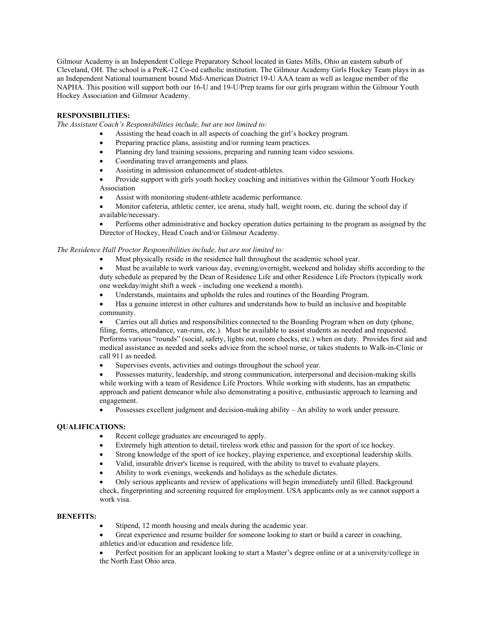Gilmour Academy is an Independent College Preparatory School located in Gates Mills, Ohio an eastern suburb of Cleveland, OH. The school is a PreK-12 Co-ed catholic institution. The Gilmour Academy Girls Hockey Team plays in as an Independent National tournament bound Mid-American District 19-U AAA team as well as league member of the NAPHA. This position will support both our 16-U and 19-U/Prep teams for our girls program within the Gilmour Youth Hockey Association and Gilmour Academy.

### **RESPONSIBILITIES:**

*The Assistant Coach's Responsibilities include, but are not limited to:* 

- Assisting the head coach in all aspects of coaching the girl's hockey program.
- Preparing practice plans, assisting and/or running team practices.
- Planning dry land training sessions, preparing and running team video sessions.
- Coordinating travel arrangements and plans.
- Assisting in admission enhancement of student-athletes.
- Provide support with girls youth hockey coaching and initiatives within the Gilmour Youth Hockey Association
- Assist with monitoring student-athlete academic performance.

• Monitor cafeteria, athletic center, ice arena, study hall, weight room, etc. during the school day if available/necessary.

• Performs other administrative and hockey operation duties pertaining to the program as assigned by the Director of Hockey, Head Coach and/or Gilmour Academy.

## *The Residence Hall Proctor Responsibilities include, but are not limited to:*

- Must physically reside in the residence hall throughout the academic school year.
- Must be available to work various day, evening/overnight, weekend and holiday shifts according to the duty schedule as prepared by the Dean of Residence Life and other Residence Life Proctors (typically work one weekday/might shift a week - including one weekend a month).
- Understands, maintains and upholds the rules and routines of the Boarding Program.
- Has a genuine interest in other cultures and understands how to build an inclusive and hospitable community.

• Carries out all duties and responsibilities connected to the Boarding Program when on duty (phone, filing, forms, attendance, van-runs, etc.). Must be available to assist students as needed and requested. Performs various "rounds" (social, safety, lights out, room checks, etc.) when on duty. Provides first aid and medical assistance as needed and seeks advice from the school nurse, or takes students to Walk-in-Clinic or call 911 as needed.

Supervises events, activities and outings throughout the school year.

• Possesses maturity, leadership, and strong communication, interpersonal and decision-making skills while working with a team of Residence Life Proctors. While working with students, has an empathetic approach and patient demeanor while also demonstrating a positive, enthusiastic approach to learning and engagement.

• Possesses excellent judgment and decision-making ability – An ability to work under pressure.

## **QUALIFICATIONS:**

- Recent college graduates are encouraged to apply.
- Extremely high attention to detail, tireless work ethic and passion for the sport of ice hockey.
- Strong knowledge of the sport of ice hockey, playing experience, and exceptional leadership skills.
- Valid, insurable driver's license is required, with the ability to travel to evaluate players.
- Ability to work evenings, weekends and holidays as the schedule dictates.

• Only serious applicants and review of applications will begin immediately until filled. Background check, fingerprinting and screening required for employment. USA applicants only as we cannot support a work visa.

### **BENEFITS:**

- Stipend, 12 month housing and meals during the academic year.
- Great experience and resume builder for someone looking to start or build a career in coaching, athletics and/or education and residence life.

• Perfect position for an applicant looking to start a Master's degree online or at a university/college in the North East Ohio area.